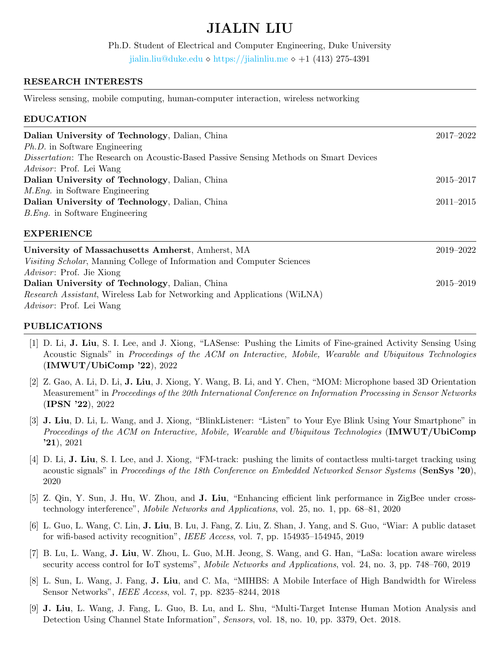# JIALIN LIU

Ph.D. Student of Electrical and Computer Engineering, Duke University <jialin.liu@duke.edu>  $\lozenge$  <https://jialinliu.me>  $\lozenge$  +1 (413) 275-4391

## RESEARCH INTERESTS

Wireless sensing, mobile computing, human-computer interaction, wireless networking

### EDUCATION

| Dalian University of Technology, Dalian, China                                               | 2017-2022     |
|----------------------------------------------------------------------------------------------|---------------|
| <i>Ph.D.</i> in Software Engineering                                                         |               |
| <i>Dissertation:</i> The Research on Acoustic-Based Passive Sensing Methods on Smart Devices |               |
| Advisor: Prof. Lei Wang                                                                      |               |
| Dalian University of Technology, Dalian, China                                               | $2015 - 2017$ |
| <i>M.Eng.</i> in Software Engineering                                                        |               |
| Dalian University of Technology, Dalian, China                                               | $2011 - 2015$ |
| <i>B.Eng.</i> in Software Engineering                                                        |               |
| <b>EXPERIENCE</b>                                                                            |               |

| University of Massachusetts Amherst, Amherst, MA                                 | 2019-2022     |
|----------------------------------------------------------------------------------|---------------|
| <i>Visiting Scholar</i> , Manning College of Information and Computer Sciences   |               |
| <i>Advisor</i> : Prof. Jie Xiong                                                 |               |
| Dalian University of Technology, Dalian, China                                   | $2015 - 2019$ |
| <i>Research Assistant</i> , Wireless Lab for Networking and Applications (WILNA) |               |
| <i>Advisor</i> : Prof. Lei Wang                                                  |               |

#### PUBLICATIONS

- [1] D. Li, J. Liu, S. I. Lee, and J. Xiong, "LASense: Pushing the Limits of Fine-grained Activity Sensing Using Acoustic Signals" in Proceedings of the ACM on Interactive, Mobile, Wearable and Ubiquitous Technologies (IMWUT/UbiComp '22), 2022
- [2] Z. Gao, A. Li, D. Li, J. Liu, J. Xiong, Y. Wang, B. Li, and Y. Chen, "MOM: Microphone based 3D Orientation Measurement" in Proceedings of the 20th International Conference on Information Processing in Sensor Networks (IPSN '22), 2022
- [3] J. Liu, D. Li, L. Wang, and J. Xiong, "BlinkListener: "Listen" to Your Eye Blink Using Your Smartphone" in Proceedings of the ACM on Interactive, Mobile, Wearable and Ubiquitous Technologies (IMWUT/UbiComp '21), 2021
- [4] D. Li, J. Liu, S. I. Lee, and J. Xiong, "FM-track: pushing the limits of contactless multi-target tracking using acoustic signals" in Proceedings of the 18th Conference on Embedded Networked Sensor Systems (SenSys '20), 2020
- [5] Z. Qin, Y. Sun, J. Hu, W. Zhou, and J. Liu, "Enhancing efficient link performance in ZigBee under crosstechnology interference", Mobile Networks and Applications, vol. 25, no. 1, pp. 68–81, 2020
- [6] L. Guo, L. Wang, C. Lin, J. Liu, B. Lu, J. Fang, Z. Liu, Z. Shan, J. Yang, and S. Guo, "Wiar: A public dataset for wifi-based activity recognition", IEEE Access, vol. 7, pp. 154935–154945, 2019
- [7] B. Lu, L. Wang, J. Liu, W. Zhou, L. Guo, M.H. Jeong, S. Wang, and G. Han, "LaSa: location aware wireless security access control for IoT systems", Mobile Networks and Applications, vol. 24, no. 3, pp. 748–760, 2019
- [8] L. Sun, L. Wang, J. Fang, J. Liu, and C. Ma, "MIHBS: A Mobile Interface of High Bandwidth for Wireless Sensor Networks", IEEE Access, vol. 7, pp. 8235–8244, 2018
- [9] J. Liu, L. Wang, J. Fang, L. Guo, B. Lu, and L. Shu, "Multi-Target Intense Human Motion Analysis and Detection Using Channel State Information", Sensors, vol. 18, no. 10, pp. 3379, Oct. 2018.